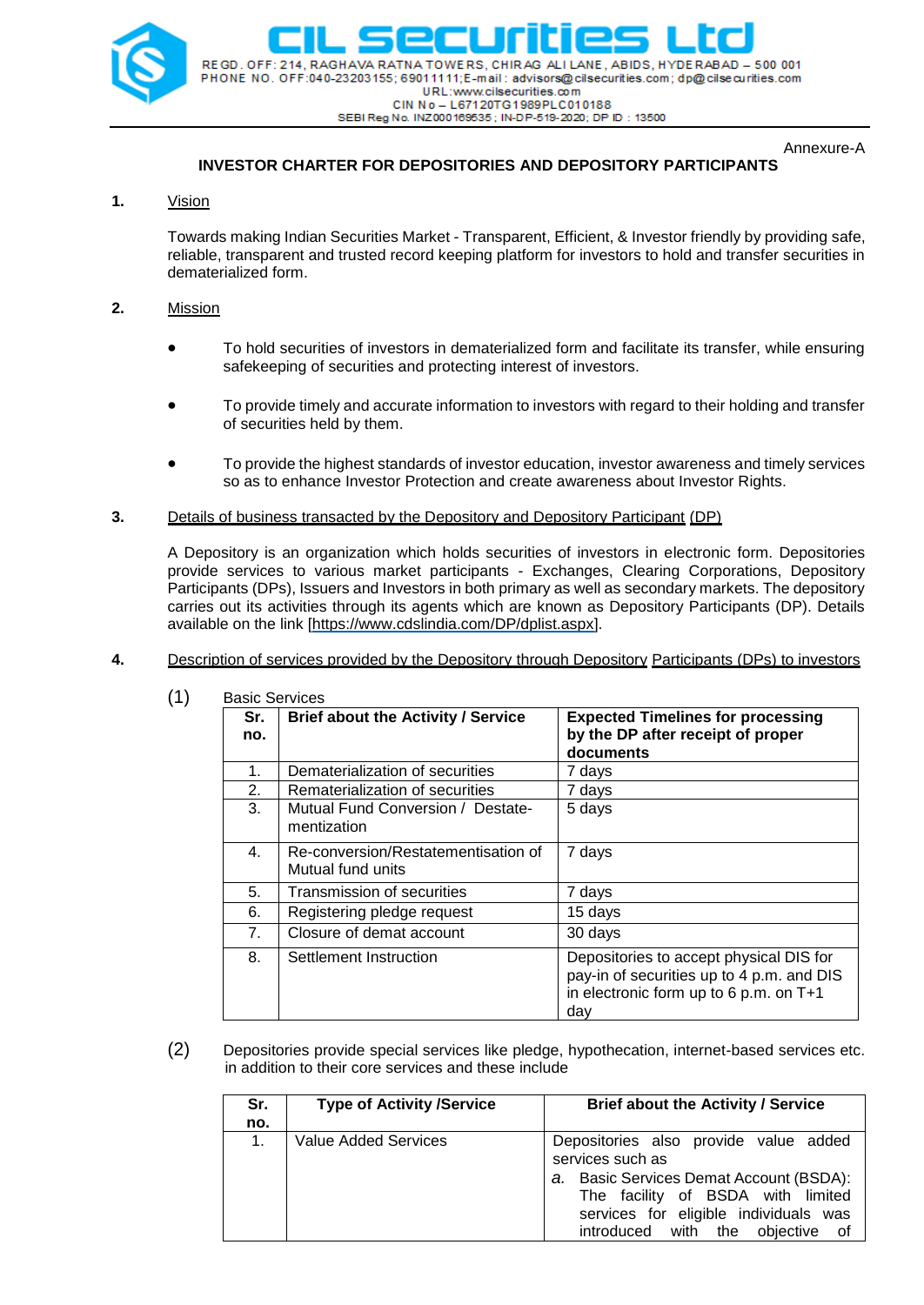

REGD. OFF: 214. RAGHAVA RATNA TOWERS. CHIRAG ALI LANE. ABIDS. HYDERABAD - 500 001 PHONE NO. OFF:040-23203155; 69011111;E-mail: advisors@cilsecurities.com; dp@cilsecurities.com URL:www.cilsecurities.com CIN No - L67120TG1989PLC010188 SEBI Reg No. INZ000169535; IN-DP-519-2020; DP ID: 13500

Annexure-A

# **INVESTOR CHARTER FOR DEPOSITORIES AND DEPOSITORY PARTICIPANTS**

# **1.** Vision

Towards making Indian Securities Market - Transparent, Efficient, & Investor friendly by providing safe, reliable, transparent and trusted record keeping platform for investors to hold and transfer securities in dematerialized form.

## **2.** Mission

- To hold securities of investors in dematerialized form and facilitate its transfer, while ensuring safekeeping of securities and protecting interest of investors.
- To provide timely and accurate information to investors with regard to their holding and transfer of securities held by them.
- To provide the highest standards of investor education, investor awareness and timely services so as to enhance Investor Protection and create awareness about Investor Rights.

#### **3.** Details of business transacted by the Depository and Depository Participant (DP)

A Depository is an organization which holds securities of investors in electronic form. Depositories provide services to various market participants - Exchanges, Clearing Corporations, Depository Participants (DPs), Issuers and Investors in both primary as well as secondary markets. The depository carries out its activities through its agents which are known as Depository Participants (DP). Details available on the link [\[https://www.cdslindia.com/DP/dplist.aspx\]](https://www.cdslindia.com/DP/dplist.aspx).

**4.** Description of services provided by the Depository through Depository Participants (DPs) to investors

|                | DASIC DEIVICES                            |                                           |  |  |  |  |  |  |
|----------------|-------------------------------------------|-------------------------------------------|--|--|--|--|--|--|
| Sr.            | <b>Brief about the Activity / Service</b> | <b>Expected Timelines for processing</b>  |  |  |  |  |  |  |
| no.            |                                           | by the DP after receipt of proper         |  |  |  |  |  |  |
|                |                                           | documents                                 |  |  |  |  |  |  |
| 1.             | Dematerialization of securities           | 7 days                                    |  |  |  |  |  |  |
| 2.             | Rematerialization of securities           | 7 days                                    |  |  |  |  |  |  |
| 3.             | Mutual Fund Conversion / Destate-         | 5 days                                    |  |  |  |  |  |  |
|                | mentization                               |                                           |  |  |  |  |  |  |
| 4.             | Re-conversion/Restatementisation of       | 7 days                                    |  |  |  |  |  |  |
|                | Mutual fund units                         |                                           |  |  |  |  |  |  |
| 5.             | Transmission of securities                | 7 days                                    |  |  |  |  |  |  |
| 6.             | Registering pledge request                | 15 days                                   |  |  |  |  |  |  |
| 7 <sub>1</sub> | Closure of demat account                  | 30 days                                   |  |  |  |  |  |  |
| 8.             | Settlement Instruction                    | Depositories to accept physical DIS for   |  |  |  |  |  |  |
|                |                                           | pay-in of securities up to 4 p.m. and DIS |  |  |  |  |  |  |
|                |                                           | in electronic form up to 6 p.m. on T+1    |  |  |  |  |  |  |
|                |                                           | day                                       |  |  |  |  |  |  |

(1) Basic Services

(2) Depositories provide special services like pledge, hypothecation, internet-based services etc. in addition to their core services and these include

| Sr. | <b>Type of Activity /Service</b> | Brief about the Activity / Service                                                                                                                                                                                        |  |  |  |
|-----|----------------------------------|---------------------------------------------------------------------------------------------------------------------------------------------------------------------------------------------------------------------------|--|--|--|
| no. |                                  |                                                                                                                                                                                                                           |  |  |  |
|     | <b>Value Added Services</b>      | Depositories also provide value added<br>services such as<br>a. Basic Services Demat Account (BSDA):<br>The facility of BSDA with limited<br>services for eligible individuals was<br>introduced with the objective<br>of |  |  |  |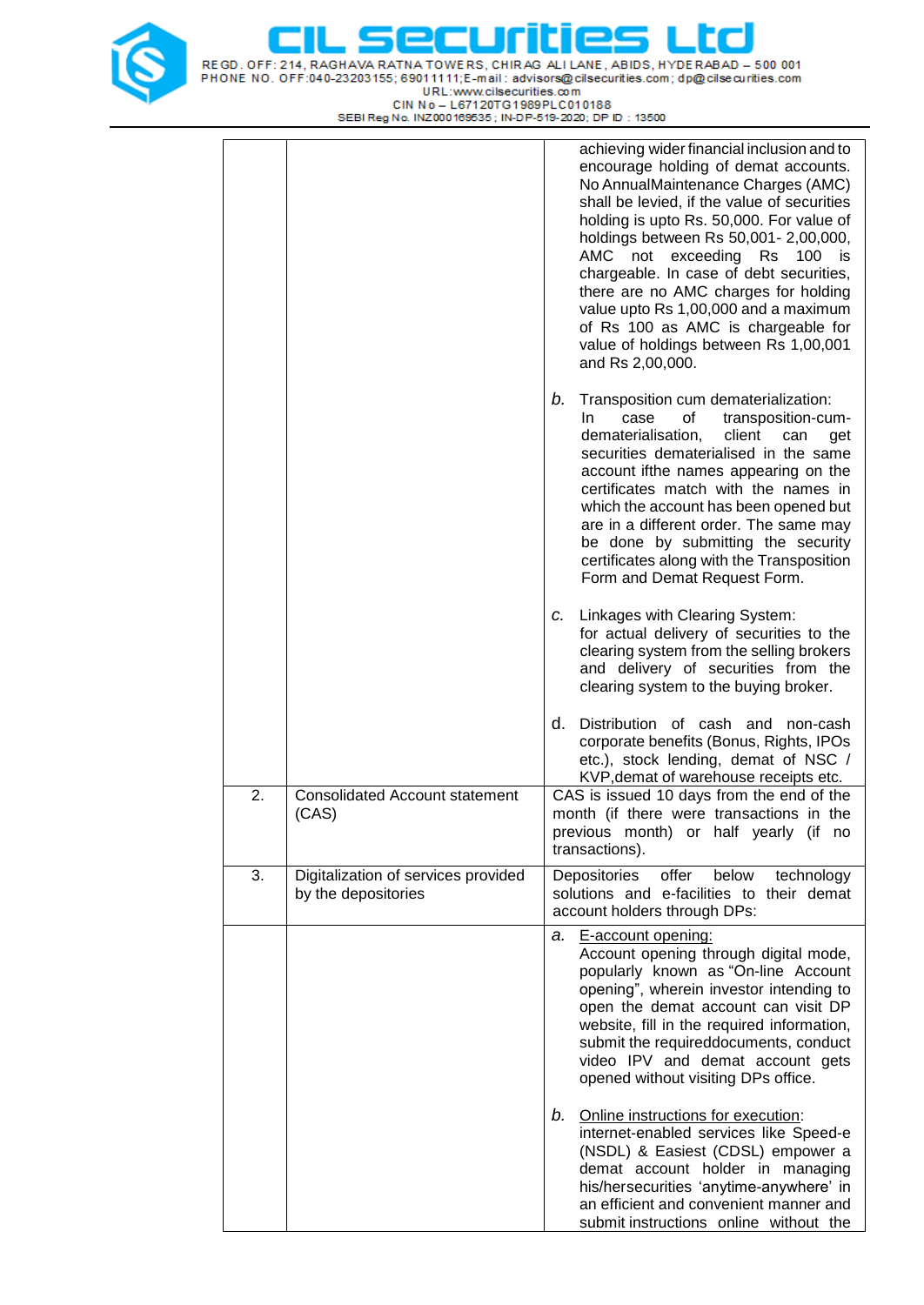



CIN No - L67120TG1989PLC010188<br>SEBI Reg No. INZ000189535 ; IN-DP-519-2020; DP ID : 13500

|    |                                                            | achieving wider financial inclusion and to<br>encourage holding of demat accounts.<br>No AnnualMaintenance Charges (AMC)<br>shall be levied, if the value of securities<br>holding is upto Rs. 50,000. For value of<br>holdings between Rs 50,001- 2,00,000,<br>AMC not exceeding Rs 100 is<br>chargeable. In case of debt securities,<br>there are no AMC charges for holding<br>value upto Rs 1,00,000 and a maximum<br>of Rs 100 as AMC is chargeable for<br>value of holdings between Rs 1,00,001<br>and Rs 2,00,000. |
|----|------------------------------------------------------------|---------------------------------------------------------------------------------------------------------------------------------------------------------------------------------------------------------------------------------------------------------------------------------------------------------------------------------------------------------------------------------------------------------------------------------------------------------------------------------------------------------------------------|
|    |                                                            | Transposition cum dematerialization:<br>b.<br>of<br>transposition-cum-<br>In.<br>case<br>dematerialisation,<br>client<br>can<br>get<br>securities dematerialised in the same<br>account ifthe names appearing on the<br>certificates match with the names in<br>which the account has been opened but<br>are in a different order. The same may<br>be done by submitting the security<br>certificates along with the Transposition<br>Form and Demat Request Form.                                                        |
|    |                                                            | c. Linkages with Clearing System:<br>for actual delivery of securities to the<br>clearing system from the selling brokers<br>and delivery of securities from the<br>clearing system to the buying broker.                                                                                                                                                                                                                                                                                                                 |
|    |                                                            | d.<br>Distribution of cash and non-cash<br>corporate benefits (Bonus, Rights, IPOs<br>etc.), stock lending, demat of NSC /<br>KVP, demat of warehouse receipts etc.                                                                                                                                                                                                                                                                                                                                                       |
| 2. | <b>Consolidated Account statement</b><br>(CAS)             | CAS is issued 10 days from the end of the<br>month (if there were transactions in the<br>previous month) or half yearly (if no<br>transactions).                                                                                                                                                                                                                                                                                                                                                                          |
| 3. | Digitalization of services provided<br>by the depositories | Depositories<br>offer<br>below<br>technology<br>solutions and e-facilities to their demat<br>account holders through DPs:                                                                                                                                                                                                                                                                                                                                                                                                 |
|    |                                                            | a. E-account opening:<br>Account opening through digital mode,<br>popularly known as "On-line Account<br>opening", wherein investor intending to<br>open the demat account can visit DP<br>website, fill in the required information,<br>submit the requireddocuments, conduct<br>video IPV and demat account gets<br>opened without visiting DPs office.                                                                                                                                                                 |
|    |                                                            | Online instructions for execution:<br>b.<br>internet-enabled services like Speed-e<br>(NSDL) & Easiest (CDSL) empower a<br>demat account holder in managing<br>his/hersecurities 'anytime-anywhere' in<br>an efficient and convenient manner and<br>submit instructions online without the                                                                                                                                                                                                                                |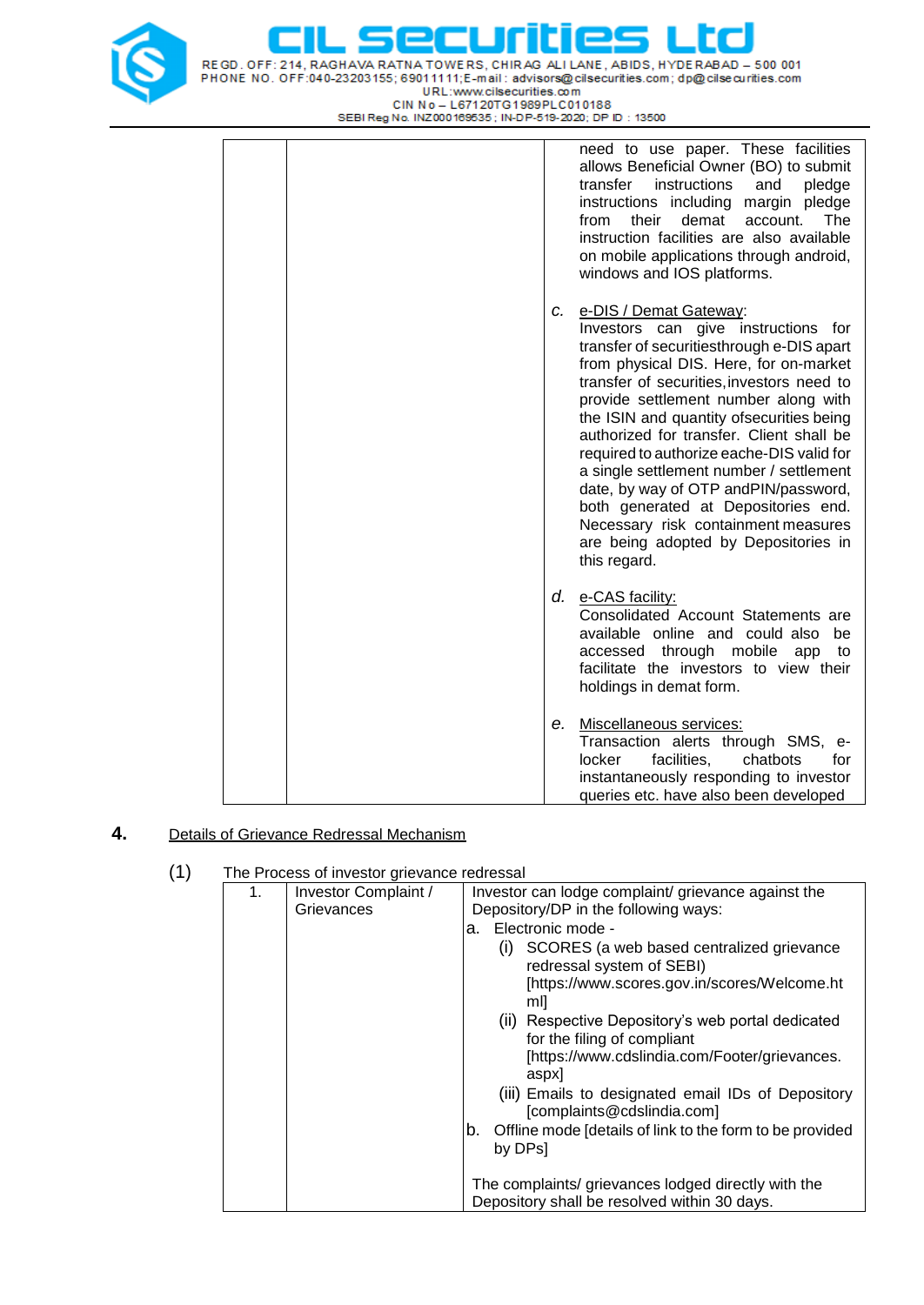



|  |    | need to use paper. These facilities<br>allows Beneficial Owner (BO) to submit<br>transfer<br>instructions<br>and<br>pledge<br>instructions including margin pledge<br>demat<br>their<br>account.<br>from<br>The<br>instruction facilities are also available<br>on mobile applications through android,<br>windows and IOS platforms.                                                                                                                                                                                                                                                                    |
|--|----|----------------------------------------------------------------------------------------------------------------------------------------------------------------------------------------------------------------------------------------------------------------------------------------------------------------------------------------------------------------------------------------------------------------------------------------------------------------------------------------------------------------------------------------------------------------------------------------------------------|
|  | C. | e-DIS / Demat Gateway:<br>Investors can give instructions for<br>transfer of securitiesthrough e-DIS apart<br>from physical DIS. Here, for on-market<br>transfer of securities, investors need to<br>provide settlement number along with<br>the ISIN and quantity of securities being<br>authorized for transfer. Client shall be<br>required to authorize eache-DIS valid for<br>a single settlement number / settlement<br>date, by way of OTP andPIN/password,<br>both generated at Depositories end.<br>Necessary risk containment measures<br>are being adopted by Depositories in<br>this regard. |
|  |    | d. e-CAS facility:<br>Consolidated Account Statements are<br>available online and could also be<br>accessed through mobile<br>app to<br>facilitate the investors to view their<br>holdings in demat form.                                                                                                                                                                                                                                                                                                                                                                                                |
|  | е. | Miscellaneous services:<br>Transaction alerts through SMS, e-<br>facilities,<br>locker<br>chatbots<br>for<br>instantaneously responding to investor<br>queries etc. have also been developed                                                                                                                                                                                                                                                                                                                                                                                                             |

# **4.** Details of Grievance Redressal Mechanism

|    | THE FTUCESS OF INVESION GITEVALICE TEGESSAL |                                                                                                     |
|----|---------------------------------------------|-----------------------------------------------------------------------------------------------------|
| 1. | Investor Complaint /                        | Investor can lodge complaint/grievance against the                                                  |
|    | Grievances                                  | Depository/DP in the following ways:                                                                |
|    |                                             | Electronic mode -<br>а.                                                                             |
|    |                                             | SCORES (a web based centralized grievance<br>(1)<br>redressal system of SEBI)                       |
|    |                                             | [https://www.scores.gov.in/scores/Welcome.ht<br>mll                                                 |
|    |                                             | (ii) Respective Depository's web portal dedicated<br>for the filing of compliant                    |
|    |                                             | [https://www.cdslindia.com/Footer/grievances.<br>aspx                                               |
|    |                                             | (iii) Emails to designated email IDs of Depository<br>[complaints@cdslindia.com]                    |
|    |                                             | Offline mode [details of link to the form to be provided<br>b.<br>by DPs]                           |
|    |                                             | The complaints/ grievances lodged directly with the<br>Depository shall be resolved within 30 days. |

(1) The Process of investor grievance redressal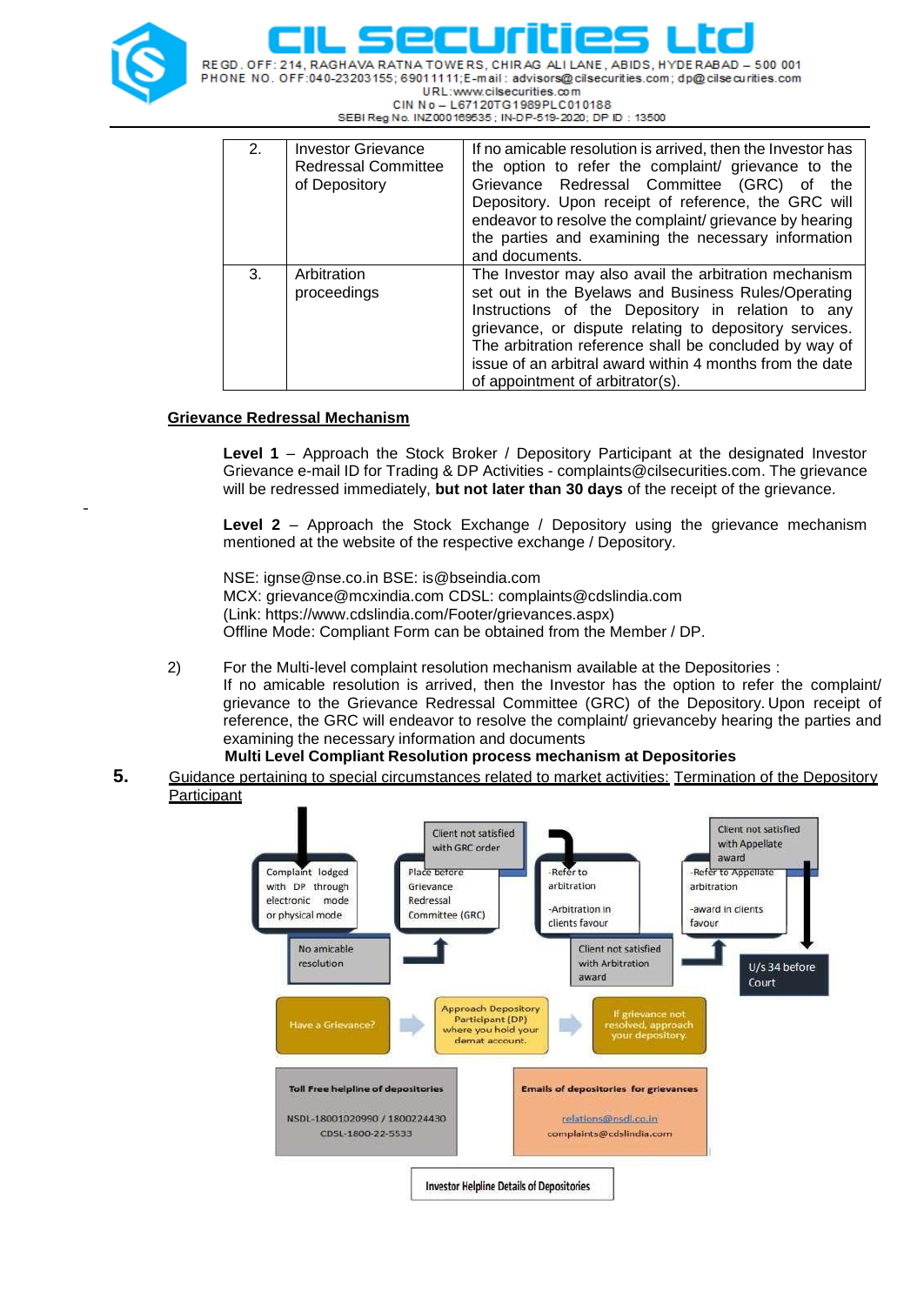

REGD. OFF: 214. RAGHAVA RATNA TOWERS. CHIRAG ALI LANE. ABIDS. HYDERABAD - 500 001 PHONE NO. OFF:040-23203155; 69011111;E-mail: advisors@cilsecurities.com; dp@cilsecurities.com URL:www.cilsecurities.com

CIN No - L67120TG1989PLC010188 SEBI Reg No. INZ000169535; IN-DP-519-2020; DP ID: 13500

| 2. | <b>Investor Grievance</b><br><b>Redressal Committee</b><br>of Depository | If no amicable resolution is arrived, then the Investor has<br>the option to refer the complaint/ grievance to the<br>Grievance Redressal Committee (GRC) of<br>the<br>Depository. Upon receipt of reference, the GRC will<br>endeavor to resolve the complaint/ grievance by hearing<br>the parties and examining the necessary information<br>and documents.                        |
|----|--------------------------------------------------------------------------|---------------------------------------------------------------------------------------------------------------------------------------------------------------------------------------------------------------------------------------------------------------------------------------------------------------------------------------------------------------------------------------|
| 3. | Arbitration<br>proceedings                                               | The Investor may also avail the arbitration mechanism<br>set out in the Byelaws and Business Rules/Operating<br>Instructions of the Depository in relation to any<br>grievance, or dispute relating to depository services.<br>The arbitration reference shall be concluded by way of<br>issue of an arbitral award within 4 months from the date<br>of appointment of arbitrator(s). |

# **Grievance Redressal Mechanism**

**Level 1** – Approach the Stock Broker / Depository Participant at the designated Investor Grievance e-mail ID for Trading & DP Activities - complaints@cilsecurities.com. The grievance will be redressed immediately, **but not later than 30 days** of the receipt of the grievance.

**Level 2** – Approach the Stock Exchange / Depository using the grievance mechanism mentioned at the website of the respective exchange / Depository.

NSE: [ignse@nse.co.in](mailto:ignse@nse.co.in) BSE: [is@bseindia.com](mailto:is@bseindia.com) MCX: [grievance@mcxindia.com](mailto:grievance@mcxindia.com) CDSL: [complaints@cdslindia.com](mailto:complaints@cdslindia.com) (Link: [https://www.cdslindia.com/Footer/grievance](http://www.cdslindia.com/Footer/grievances.aspx))s.aspx) Offline Mode: Compliant Form can be obtained from the Member / DP.

2) For the Multi-level complaint resolution mechanism available at the Depositories : If no amicable resolution is arrived, then the Investor has the option to refer the complaint/ grievance to the Grievance Redressal Committee (GRC) of the Depository. Upon receipt of reference, the GRC will endeavor to resolve the complaint/ grievanceby hearing the parties and

examining the necessary information and documents

## **Multi Level Compliant Resolution process mechanism at Depositories**

**5.** Guidance pertaining to special circumstances related to market activities: Termination of the Depository Participant

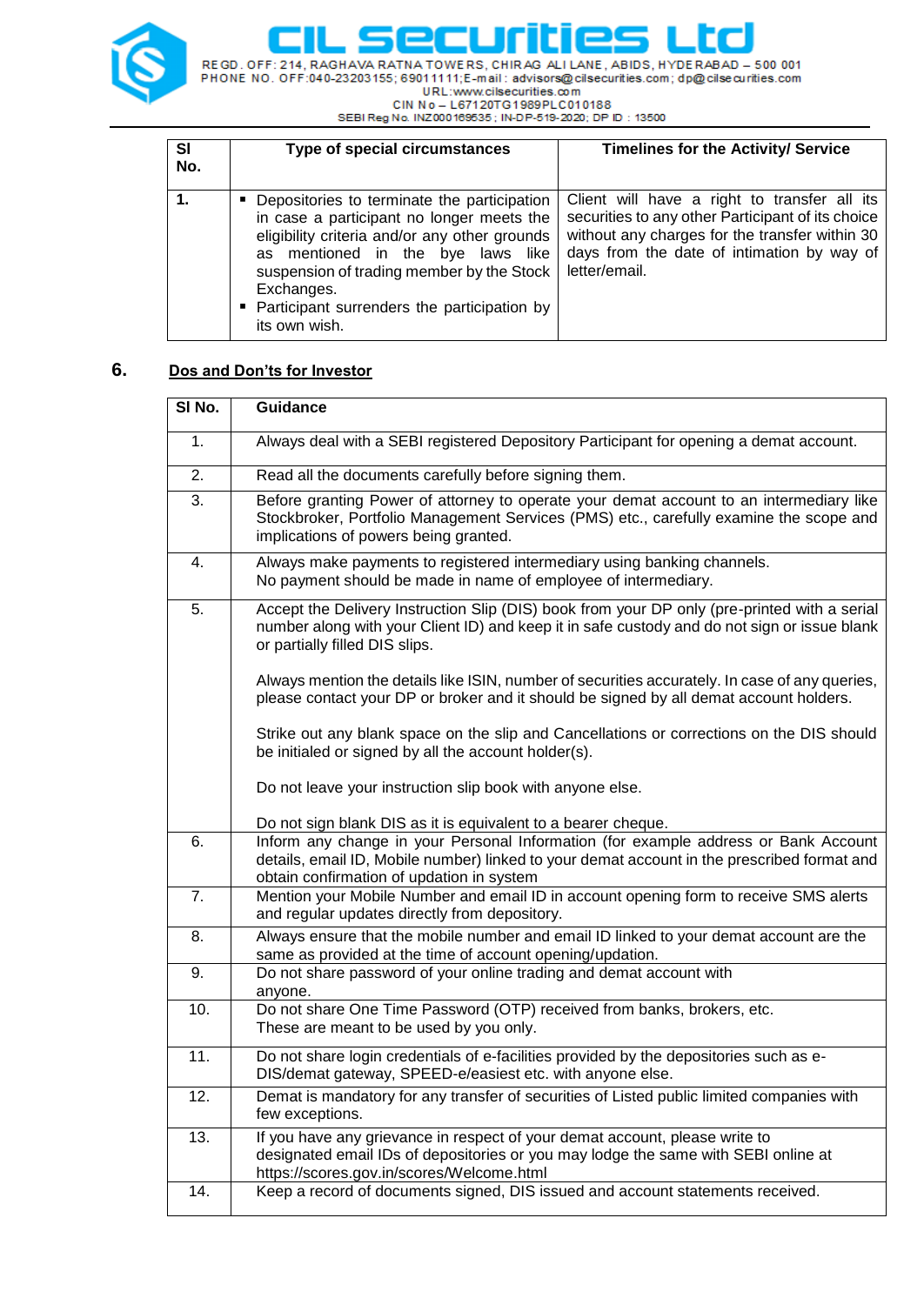

 $\equiv$ Ξ  $\blacksquare$ г

REGD. OFF: 214, RAGHAVA RATNA TOWERS, CHIRAG ALI LANE, ABIDS, HYDERABAD - 500 001<br>PHONE NO. OFF:040-23203155; 69011111;E-mail: advisors@cilsecurities.com; dp@cilsecurities.com URL:www.cilsecurities.com

CIN No - L67120TG1989PLC010188

| <b>SI</b><br>No. | Type of special circumstances                                                                                                                                                                                                                                                                               | <b>Timelines for the Activity/ Service</b>                                                                                                                                                                         |
|------------------|-------------------------------------------------------------------------------------------------------------------------------------------------------------------------------------------------------------------------------------------------------------------------------------------------------------|--------------------------------------------------------------------------------------------------------------------------------------------------------------------------------------------------------------------|
| $\mathbf 1$ .    | Depositories to terminate the participation<br>in case a participant no longer meets the<br>eligibility criteria and/or any other grounds<br>as mentioned in the bye laws like<br>suspension of trading member by the Stock<br>Exchanges.<br>• Participant surrenders the participation by<br>its own wish. | Client will have a right to transfer all its<br>securities to any other Participant of its choice<br>without any charges for the transfer within 30<br>days from the date of intimation by way of<br>letter/email. |

# **6. Dos and Don'ts for Investor**

| SI No.           | <b>Guidance</b>                                                                                                                                                                                                                 |
|------------------|---------------------------------------------------------------------------------------------------------------------------------------------------------------------------------------------------------------------------------|
| 1.               | Always deal with a SEBI registered Depository Participant for opening a demat account.                                                                                                                                          |
| $\overline{2}$ . | Read all the documents carefully before signing them.                                                                                                                                                                           |
| 3.               | Before granting Power of attorney to operate your demat account to an intermediary like<br>Stockbroker, Portfolio Management Services (PMS) etc., carefully examine the scope and<br>implications of powers being granted.      |
| 4.               | Always make payments to registered intermediary using banking channels.<br>No payment should be made in name of employee of intermediary.                                                                                       |
| 5.               | Accept the Delivery Instruction Slip (DIS) book from your DP only (pre-printed with a serial<br>number along with your Client ID) and keep it in safe custody and do not sign or issue blank<br>or partially filled DIS slips.  |
|                  | Always mention the details like ISIN, number of securities accurately. In case of any queries,<br>please contact your DP or broker and it should be signed by all demat account holders.                                        |
|                  | Strike out any blank space on the slip and Cancellations or corrections on the DIS should<br>be initialed or signed by all the account holder(s).                                                                               |
|                  | Do not leave your instruction slip book with anyone else.                                                                                                                                                                       |
|                  | Do not sign blank DIS as it is equivalent to a bearer cheque.                                                                                                                                                                   |
| 6.               | Inform any change in your Personal Information (for example address or Bank Account<br>details, email ID, Mobile number) linked to your demat account in the prescribed format and<br>obtain confirmation of updation in system |
| 7.               | Mention your Mobile Number and email ID in account opening form to receive SMS alerts<br>and regular updates directly from depository.                                                                                          |
| 8.               | Always ensure that the mobile number and email ID linked to your demat account are the<br>same as provided at the time of account opening/updation.                                                                             |
| 9.               | Do not share password of your online trading and demat account with<br>anyone.                                                                                                                                                  |
| 10.              | Do not share One Time Password (OTP) received from banks, brokers, etc.<br>These are meant to be used by you only.                                                                                                              |
| 11.              | Do not share login credentials of e-facilities provided by the depositories such as e-<br>DIS/demat gateway, SPEED-e/easiest etc. with anyone else.                                                                             |
| 12.              | Demat is mandatory for any transfer of securities of Listed public limited companies with<br>few exceptions.                                                                                                                    |
| 13.              | If you have any grievance in respect of your demat account, please write to<br>designated email IDs of depositories or you may lodge the same with SEBI online at<br>https://scores.gov.in/scores/Welcome.html                  |
| 14.              | Keep a record of documents signed, DIS issued and account statements received.                                                                                                                                                  |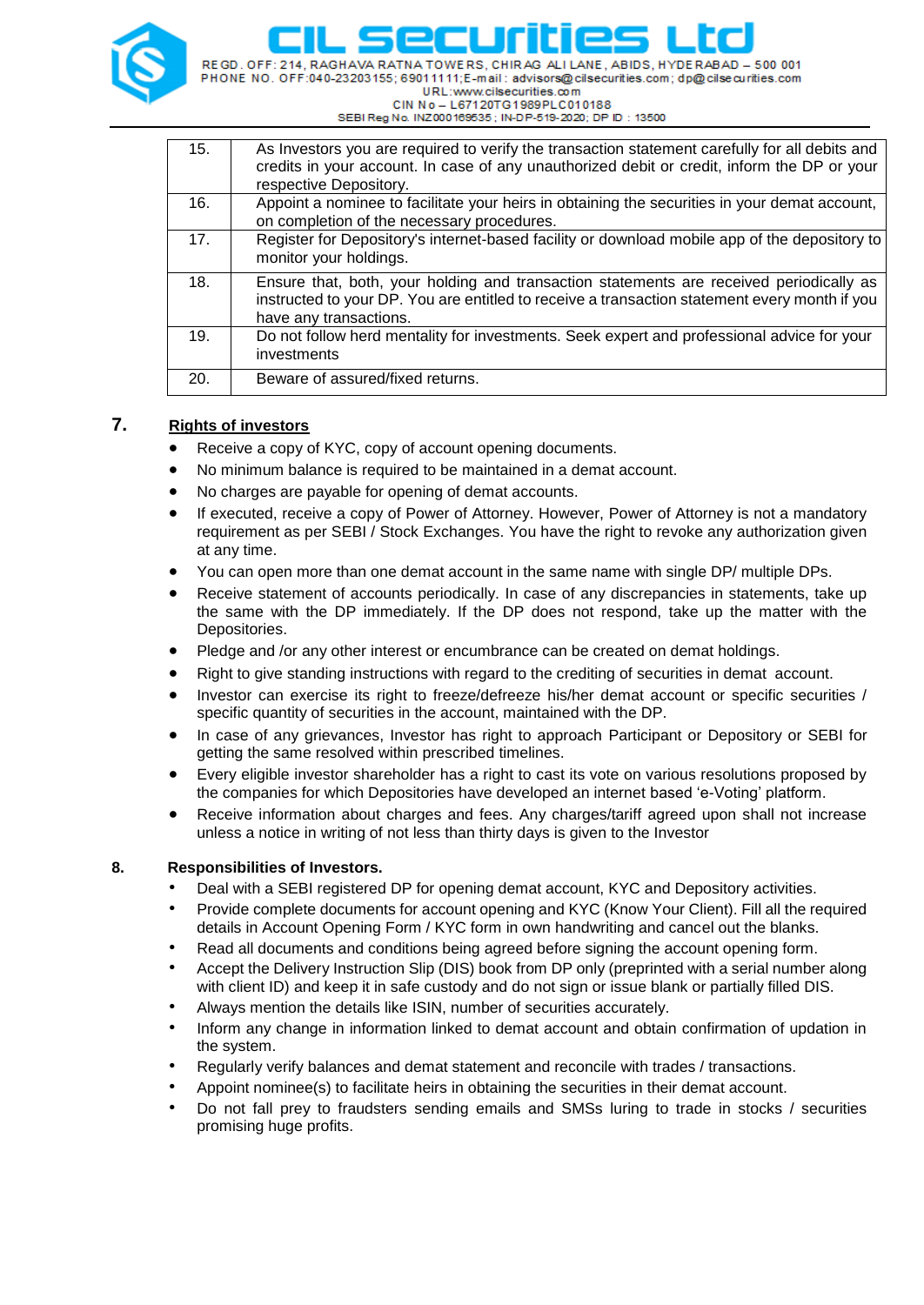

REGD. OFF: 214. RAGHAVA RATNA TOWERS. CHIRAG ALI LANE. ABIDS. HYDERABAD - 500 001

PHONE NO. OFF:040-23203155; 69011111;E-mail: advisors@cilsecurities.com; dp@cilsecurities.com URL:www.cilsecurities.com

CIN No - L67120TG1989PLC010188 SEBI Reg No. INZ000169535; IN-DP-519-2020; DP ID: 13500

| 15. | As Investors you are required to verify the transaction statement carefully for all debits and<br>credits in your account. In case of any unauthorized debit or credit, inform the DP or your<br>respective Depository. |
|-----|-------------------------------------------------------------------------------------------------------------------------------------------------------------------------------------------------------------------------|
| 16. | Appoint a nominee to facilitate your heirs in obtaining the securities in your demat account,<br>on completion of the necessary procedures.                                                                             |
| 17. | Register for Depository's internet-based facility or download mobile app of the depository to<br>monitor your holdings.                                                                                                 |
| 18. | Ensure that, both, your holding and transaction statements are received periodically as<br>instructed to your DP. You are entitled to receive a transaction statement every month if you<br>have any transactions.      |
| 19. | Do not follow herd mentality for investments. Seek expert and professional advice for your<br>investments                                                                                                               |
| 20. | Beware of assured/fixed returns.                                                                                                                                                                                        |

# **7. Rights of investors**

- Receive a copy of KYC, copy of account opening documents.
- No minimum balance is required to be maintained in a demat account.
- No charges are payable for opening of demat accounts.
- If executed, receive a copy of Power of Attorney. However, Power of Attorney is not a mandatory requirement as per SEBI / Stock Exchanges. You have the right to revoke any authorization given at any time.
- You can open more than one demat account in the same name with single DP/ multiple DPs.
- Receive statement of accounts periodically. In case of any discrepancies in statements, take up the same with the DP immediately. If the DP does not respond, take up the matter with the Depositories.
- Pledge and /or any other interest or encumbrance can be created on demat holdings.
- Right to give standing instructions with regard to the crediting of securities in demat account.
- Investor can exercise its right to freeze/defreeze his/her demat account or specific securities / specific quantity of securities in the account, maintained with the DP.
- In case of any grievances, Investor has right to approach Participant or Depository or SEBI for getting the same resolved within prescribed timelines.
- Every eligible investor shareholder has a right to cast its vote on various resolutions proposed by the companies for which Depositories have developed an internet based 'e-Voting' platform.
- Receive information about charges and fees. Any charges/tariff agreed upon shall not increase unless a notice in writing of not less than thirty days is given to the Investor

## **8. Responsibilities of Investors.**

- Deal with a SEBI registered DP for opening demat account, KYC and Depository activities.
- Provide complete documents for account opening and KYC (Know Your Client). Fill all the required details in Account Opening Form / KYC form in own handwriting and cancel out the blanks.
- Read all documents and conditions being agreed before signing the account opening form.
- Accept the Delivery Instruction Slip (DIS) book from DP only (preprinted with a serial number along with client ID) and keep it in safe custody and do not sign or issue blank or partially filled DIS.
- Always mention the details like ISIN, number of securities accurately.
- Inform any change in information linked to demat account and obtain confirmation of updation in the system.
- Regularly verify balances and demat statement and reconcile with trades / transactions.
- Appoint nominee(s) to facilitate heirs in obtaining the securities in their demat account.
- Do not fall prey to fraudsters sending emails and SMSs luring to trade in stocks / securities promising huge profits.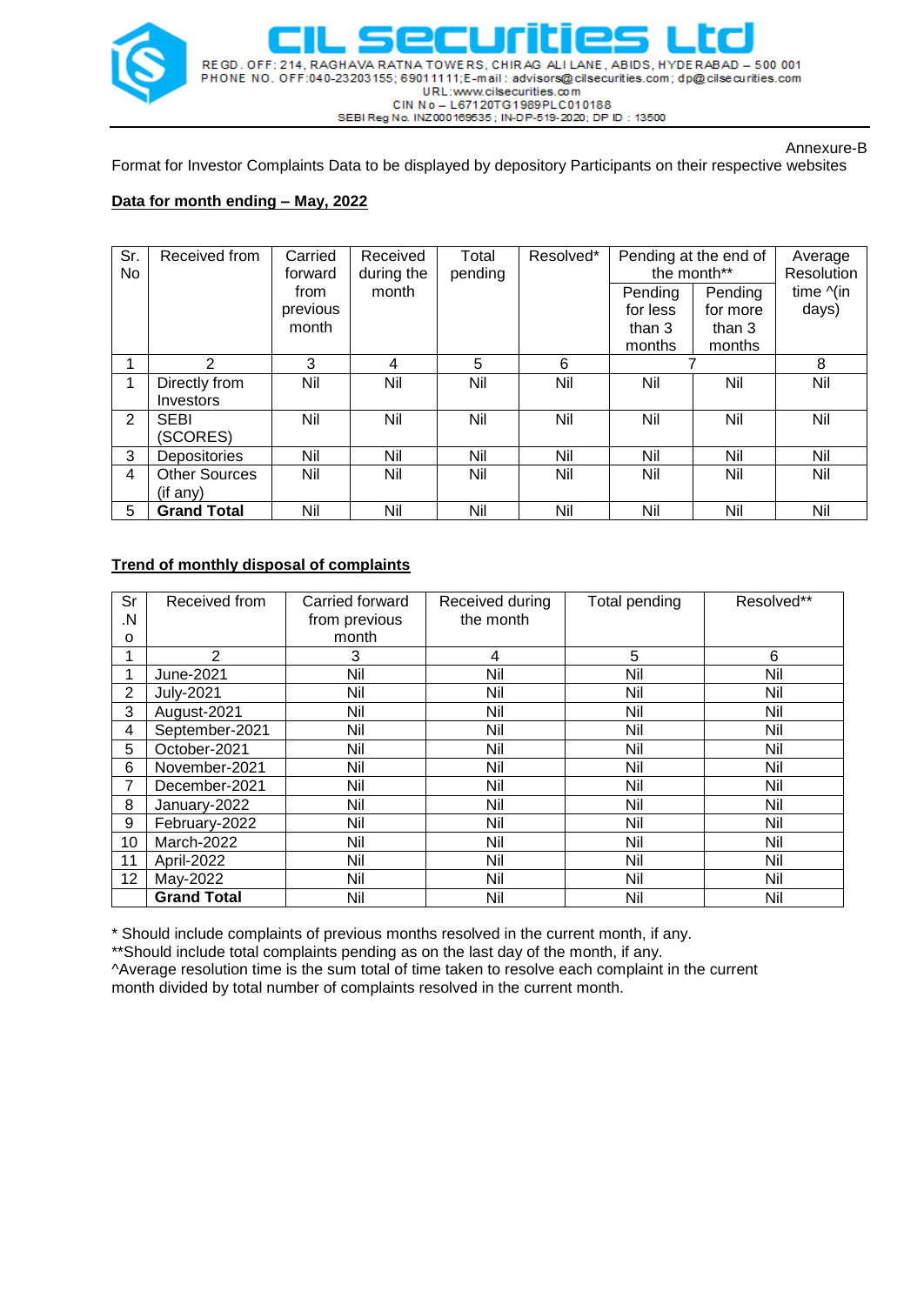

#### Annexure-B

Format for Investor Complaints Data to be displayed by depository Participants on their respective websites

## **Data for month ending – May, 2022**

| Sr.            | Received from        | Carried  | Received   | Total   | Resolved* |          | Pending at the end of |                   |
|----------------|----------------------|----------|------------|---------|-----------|----------|-----------------------|-------------------|
| No             |                      | forward  | during the | pending |           |          | the month**           |                   |
|                |                      | from     | month      |         |           | Pending  | Pending               | time $\wedge$ (in |
|                |                      | previous |            |         |           | for less | for more              | days)             |
|                |                      | month    |            |         |           | than 3   | than 3                |                   |
|                |                      |          |            |         |           | months   | months                |                   |
|                | 2                    | 3        | 4          | 5       | 6         |          |                       | 8                 |
|                | Directly from        | Nil      | Nil        | Nil     | Nil       | Nil      | Nil                   | Nil               |
|                | Investors            |          |            |         |           |          |                       |                   |
| 2              | <b>SEBI</b>          | Nil      | Nil        | Nil     | Nil       | Nil      | Nil                   | Nil               |
|                | (SCORES)             |          |            |         |           |          |                       |                   |
| 3              | Depositories         | Nil      | Nil        | Nil     | Nil       | Nil      | Nil                   | Nil               |
| $\overline{4}$ | <b>Other Sources</b> | Nil      | Nil        | Nil     | Nil       | Nil      | Nil                   | Nil               |
|                | (if any)             |          |            |         |           |          |                       |                   |
| 5              | <b>Grand Total</b>   | Nil      | Nil        | Nil     | Nil       | Nil      | Nil                   | Nil               |

## **Trend of monthly disposal of complaints**

| Sr | Received from      | Carried forward | Received during | Total pending | Resolved** |
|----|--------------------|-----------------|-----------------|---------------|------------|
| N. |                    | from previous   | the month       |               |            |
| 0  |                    | month           |                 |               |            |
|    | 2                  | 3               | 4               | 5             | 6          |
|    | June-2021          | Nil             | Nil             | Nil           | Nil        |
| 2  | <b>July-2021</b>   | Nil             | Nil             | Nil           | Nil        |
| 3  | August-2021        | Nil             | Nil             | Nil           | Nil        |
| 4  | September-2021     | Nil             | Nil             | Nil           | Nil        |
| 5  | October-2021       | Nil             | Nil             | Nil           | Nil        |
| 6  | November-2021      | Nil             | Nil             | Nil           | Nil        |
| 7  | December-2021      | Nil             | Nil             | Nil           | Nil        |
| 8  | January-2022       | Nil             | Nil             | Nil           | Nil        |
| 9  | February-2022      | Nil             | Nil             | Nil           | Nil        |
| 10 | March-2022         | Nil             | Nil             | Nil           | Nil        |
| 11 | April-2022         | Nil             | Nil             | Nil           | Nil        |
| 12 | May-2022           | Nil             | Nil             | Nil           | Nil        |
|    | <b>Grand Total</b> | Nil             | Nil             | Nil           | Nil        |

\* Should include complaints of previous months resolved in the current month, if any.

\*\*Should include total complaints pending as on the last day of the month, if any.

^Average resolution time is the sum total of time taken to resolve each complaint in the current month divided by total number of complaints resolved in the current month.